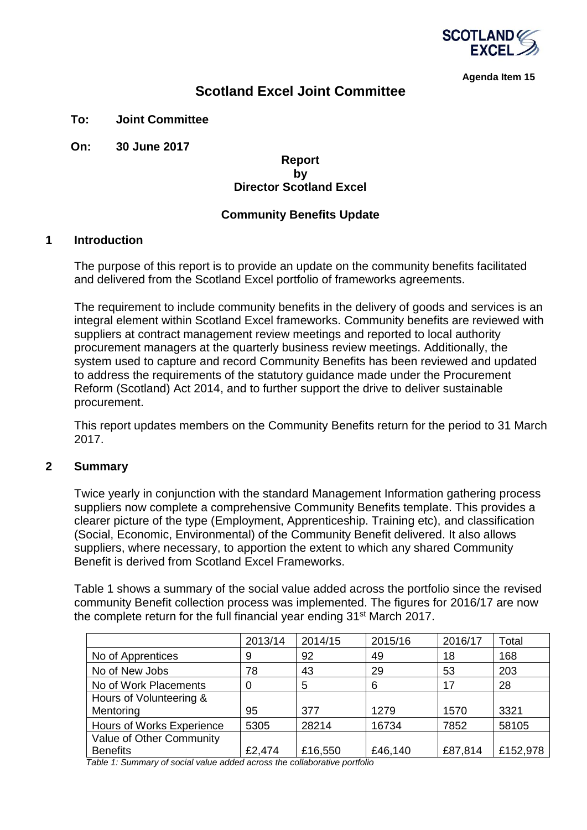

**Agenda Item 15**

# **Scotland Excel Joint Committee**

**To: Joint Committee**

**On: 30 June 2017**

#### **Report by Director Scotland Excel**

# **Community Benefits Update**

#### **1 Introduction**

The purpose of this report is to provide an update on the community benefits facilitated and delivered from the Scotland Excel portfolio of frameworks agreements.

The requirement to include community benefits in the delivery of goods and services is an integral element within Scotland Excel frameworks. Community benefits are reviewed with suppliers at contract management review meetings and reported to local authority procurement managers at the quarterly business review meetings. Additionally, the system used to capture and record Community Benefits has been reviewed and updated to address the requirements of the statutory guidance made under the Procurement Reform (Scotland) Act 2014, and to further support the drive to deliver sustainable procurement.

This report updates members on the Community Benefits return for the period to 31 March 2017.

# **2 Summary**

Twice yearly in conjunction with the standard Management Information gathering process suppliers now complete a comprehensive Community Benefits template. This provides a clearer picture of the type (Employment, Apprenticeship. Training etc), and classification (Social, Economic, Environmental) of the Community Benefit delivered. It also allows suppliers, where necessary, to apportion the extent to which any shared Community Benefit is derived from Scotland Excel Frameworks.

Table 1 shows a summary of the social value added across the portfolio since the revised community Benefit collection process was implemented. The figures for 2016/17 are now the complete return for the full financial year ending 31<sup>st</sup> March 2017.

|                                  | 2013/14 | 2014/15 | 2015/16 | 2016/17 | Total    |
|----------------------------------|---------|---------|---------|---------|----------|
| No of Apprentices                | 9       | 92      | 49      | 18      | 168      |
| No of New Jobs                   | 78      | 43      | 29      | 53      | 203      |
| No of Work Placements            | 0       | 5       | 6       | 17      | 28       |
| Hours of Volunteering &          |         |         |         |         |          |
| Mentoring                        | 95      | 377     | 1279    | 1570    | 3321     |
| <b>Hours of Works Experience</b> | 5305    | 28214   | 16734   | 7852    | 58105    |
| Value of Other Community         |         |         |         |         |          |
| <b>Benefits</b>                  | £2,474  | £16,550 | £46,140 | £87,814 | £152,978 |

*Table 1: Summary of social value added across the collaborative portfolio*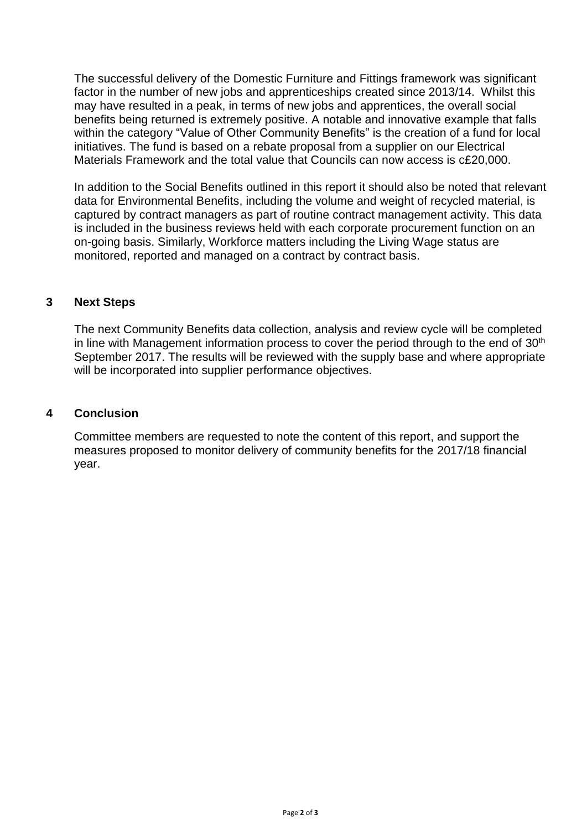The successful delivery of the Domestic Furniture and Fittings framework was significant factor in the number of new jobs and apprenticeships created since 2013/14. Whilst this may have resulted in a peak, in terms of new jobs and apprentices, the overall social benefits being returned is extremely positive. A notable and innovative example that falls within the category "Value of Other Community Benefits" is the creation of a fund for local initiatives. The fund is based on a rebate proposal from a supplier on our Electrical Materials Framework and the total value that Councils can now access is c£20,000.

In addition to the Social Benefits outlined in this report it should also be noted that relevant data for Environmental Benefits, including the volume and weight of recycled material, is captured by contract managers as part of routine contract management activity. This data is included in the business reviews held with each corporate procurement function on an on-going basis. Similarly, Workforce matters including the Living Wage status are monitored, reported and managed on a contract by contract basis.

# **3 Next Steps**

The next Community Benefits data collection, analysis and review cycle will be completed in line with Management information process to cover the period through to the end of  $30<sup>th</sup>$ September 2017. The results will be reviewed with the supply base and where appropriate will be incorporated into supplier performance objectives.

#### **4 Conclusion**

Committee members are requested to note the content of this report, and support the measures proposed to monitor delivery of community benefits for the 2017/18 financial year.